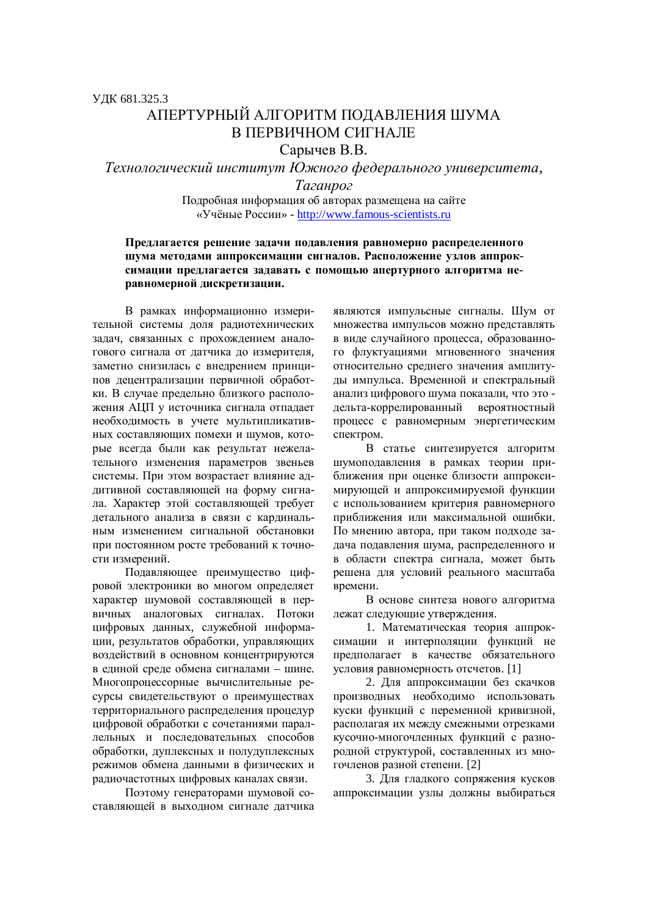## АПЕРТУРНЫЙ АЛГОРИТМ ПОЛАВЛЕНИЯ ШУМА В ПЕРВИЧНОМ СИГНАЛЕ

Сарычев В.В.

Tехнологический институт Южного федерального университета,

Ta*гaнpoг* 

Подробная информация об авторах размещена на сайте «Учёные России» - http://www.famous-scientists.ru

## Предлагается решение задачи подавления равномерно распределенного шума методами аппроксимации сигналов. Расположение узлов аппроксимации предлагается задавать с помощью апертурного алгоритма не**изаномерной дискретизации.**

В рамках информационно измерительной системы доля радиотехнических задач, связанных с прохождением аналогового сигнала от латчика до измерителя. заметно снизилась с внелрением принципов децентрализации первичной обработки. В случае предельно близкого расположения АЦП у источника сигнала отпадает необходимость в учете мультипликативных составляющих помехи и шумов, которые всегда были как результат нежелательного изменения параметров звеньев системы. При этом возрастает влияние аддитивной составляющей на форму сигнала. Характер этой составляющей требует детального анализа в связи с кардинальным изменением сигнальной обстановки при постоянном росте требований к точности измерений.

Подавляющее преимущество цифровой электроники во многом определяет характер шумовой составляющей в первичных аналоговых сигналах. Потоки цифровых данных, служебной информации, результатов обработки, управляющих воздействий в основном концентрируются в единой среде обмена сигналами – шине. Многопроцессорные вычислительные ресурсы свидетельствуют о преимуществах территориального распределения процедур пифровой обработки с сочетаниями параллельных и последовательных способов обработки, дуплексных и полудуплексных режимов обмена данными в физических и радиочастотных цифровых каналах связи.

Поэтому генераторами шумовой составляющей в выхолном сигнале латчика являются импульсные сигналы. Шум от множества импульсов можно представлять в виде случайного процесса, образованного флуктуациями мгновенного значения относительно среднего значения амплитуды импульса. Временной и спектральный анализ цифрового шума показали, что это дельта-коррелированный вероятностный процесс с равномерным энергетическим спектром.

В статье синтезируется алгоритм шумоподавления в рамках теории приближения при оценке близости аппроксимирующей и аппроксимируемой функции с использованием критерия равномерного приближения или максимальной ошибки. По мнению автора, при таком подходе задача подавления шума, распределенного и в области спектра сигнала, может быть решена для условий реального масштаба времени.

В основе синтеза нового алгоритма лежат следующие утверждения.

1. Математическая теория аппроксимации и интерполяции функций не предполагает в качестве обязательного условия равномерность отсчетов. [1]

2. Для аппроксимации без скачков производных необходимо использовать куски функций с переменной кривизной, располагая их между смежными отрезками кусочно-многочленных функций с разнородной структурой, составленных из многочленов разной степени. [2]

3. Для гладкого сопряжения кусков аппроксимации узлы должны выбираться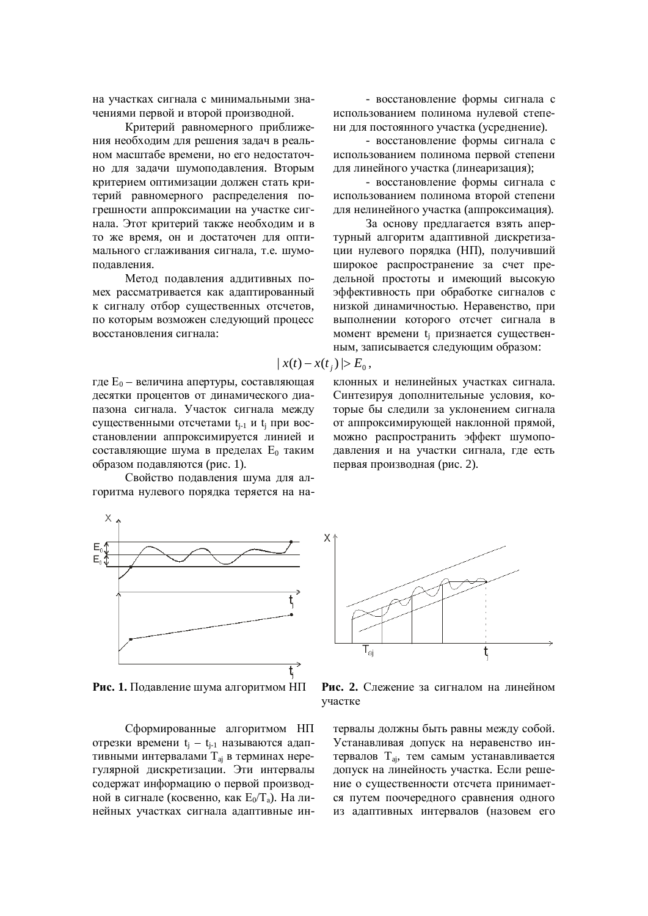на участках сигнала с минимальными значениями первой и второй производной.

Критерий равномерного приближения необходим для решения задач в реальном масштабе времени, но его недостаточно для задачи шумоподавления. Вторым критерием оптимизации должен стать критерий равномерного распределения погрешности аппроксимации на участке сигнала. Этот критерий также необходим и в то же время, он и достаточен для оптимального сглаживания сигнала, т.е. шумополавления.

Метод подавления аддитивных помех рассматривается как адаптированный к сигналу отбор существенных отсчетов, по которым возможен следующий процесс восстановления сигнала:

$$
|x(t) - x(t_i)| > E
$$

где  $E_0$  – величина апертуры, составляющая десятки процентов от динамического диапазона сигнала. Участок сигнала между существенными отсчетами t<sub>j-1</sub> и t<sub>j</sub> при восстановлении аппроксимируется линией и составляющие шума в пределах  $E_0$  таким образом подавляются (рис. 1).

Свойство подавления шума для алгоритма нулевого порядка теряется на на-

- восстановление формы сигнала с использованием полинома нулевой степени лля постоянного участка (усреднение).

- восстановление формы сигнала с использованием полинома первой степени для линейного участка (линеаризация);

- восстановление формы сигнала с использованием полинома второй степени для нелинейного участка (аппроксимация).

За основу предлагается взять апертурный алгоритм адаптивной дискретизации нулевого порядка (НП), получивший широкое распространение за счет предельной простоты и имеющий высокую эффективность при обработке сигналов с низкой динамичностью. Неравенство, при выполнении которого отсчет сигнала в момент времени tj признается существенным, записывается следующим образом:

$$
x(t) - x(t_j) \ge E_0,
$$

клонных и нелинейных участках сигнала. Синтезируя дополнительные условия, которые бы следили за уклонением сигнала от аппроксимирующей наклонной прямой, можно распространить эффект шумоподавления и на участки сигнала, где есть первая производная (рис. 2).



**Рис. 1.** Полавление шума алгоритмом НП Рис. 2. Слежение за сигналом на линейном

Сформированные алгоритмом НП отрезки времени t<sub>j</sub> - t<sub>j-1</sub> называются адаптивными интервалами  $T_{ai}$  в терминах нерегулярной дискретизации. Эти интервалы содержат информацию о первой производной в сигнале (косвенно, как  $E_0/T_a$ ). На линейных участках сигнала адаптивные ин-



vyacrke

тервалы должны быть равны между собой. Устанавливая допуск на неравенство интервалов  $T_{ai}$ , тем самым устанавливается допуск на линейность участка. Если решение о существенности отсчета принимается путем поочередного сравнения одного из адаптивных интервалов (назовем его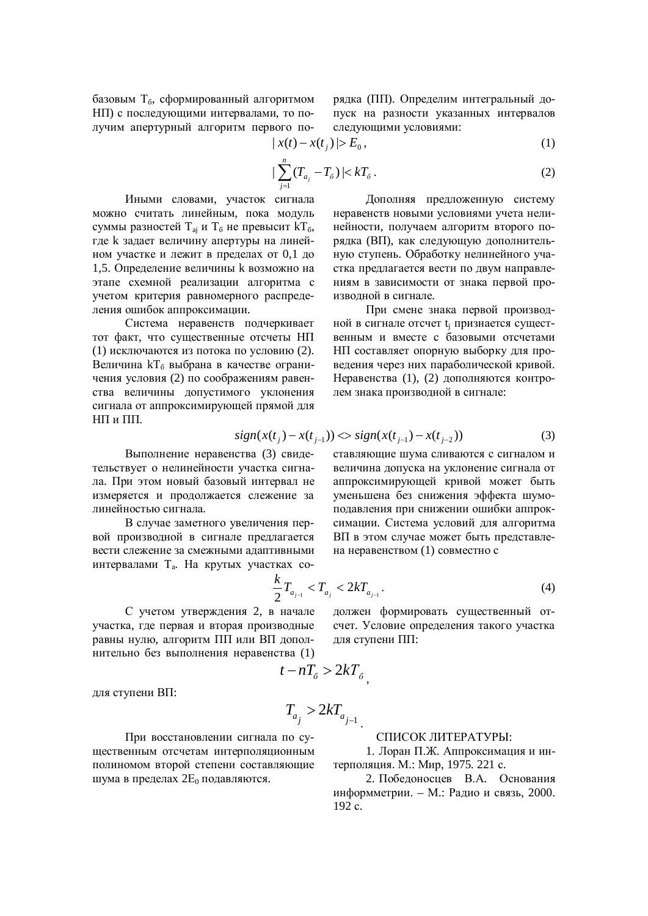базовым  $T_6$ , сформированный алгоритмом НП) с последующими интервалами, то получим апертурный алгоритм первого порядка (ПП). Определим интегральный допуск на разности указанных интервалов следующими условиями:

$$
|x(t) - x(t_j)| > E_0,
$$
\n<sup>(1)</sup>

$$
|\sum_{j=1}^{n} (T_{a_j} - T_{\delta})| < kT_{\delta} \,. \tag{2}
$$

Иными словами, участок сигнала можно считать линейным, пока модуль суммы разностей  $T_{ai}$  и  $T_6$  не превысит  $kT_6$ , где k задает величину апертуры на линейном участке и лежит в пределах от 0,1 до 1,5. Определение величины к возможно на этапе схемной реализации алгоритма с учетом критерия равномерного распределения ошибок аппроксимации.

Система неравенств подчеркивает тот факт, что существенные отсчеты НП (1) исключаются из потока по условию (2). Величина kT<sub>6</sub> выбрана в качестве ограничения условия (2) по соображениям равенства величины допустимого уклонения сигнала от аппроксимирующей прямой для НП и ПП.

Дополняя предложенную систему неравенств новыми условиями учета нелинейности, получаем алгоритм второго порядка (ВП), как следующую дополнительную ступень. Обработку нелинейного участка предлагается вести по двум направлениям в зависимости от знака первой производной в сигнале.

При смене знака первой производной в сигнале отсчет t<sub>j</sub> признается существенным и вместе с базовыми отсчетами НП составляет опорную выборку для проведения через них параболической кривой. Неравенства (1), (2) дополняются контролем знака производной в сигнале:

$$
sign(x(t_j) - x(t_{j-1})) \ll sign(x(t_{j-1}) - x(t_{j-2}))
$$
\n(3)

Выполнение неравенства (3) свидетельствует о нелинейности участка сигнала. При этом новый базовый интервал не измеряется и продолжается слежение за линейностью сигнала.

В случае заметного увеличения первой производной в сигнале предлагается вести слежение за смежными адаптивными интервалами Т<sub>а</sub>. На крутых участках совеличина допуска на уклонение сигнала от аппроксимирующей кривой может быть уменьшена без снижения эффекта шумоподавления при снижении ошибки аппроксимации. Система условий для алгоритма ВП в этом случае может быть представлена неравенством (1) совместно с

ставляющие шума сливаются с сигналом и

$$
\frac{k}{2}T_{a_{j-1}} < T_{a_j} < 2kT_{a_{j-1}}.\tag{4}
$$

С учетом утверждения 2, в начале участка, где первая и вторая производные равны нулю, алгоритм ПП или ВП дополнительно без выполнения неравенства (1)

должен формировать существенный отсчет. Условие определения такого участка для ступени ПП:

$$
t - nT_{\delta} > 2kT_{\delta},
$$

для ступени ВП:

$$
T_{a_j} > 2kT_{a_{j-1}}
$$

.

## СПИСОК ЛИТЕРАТУРЫ:

1. Лоран П.Ж. Аппроксимация и интерполяция. М.: Мир, 1975. 221 с.

2. Побелоносиев В.А. Основания информметрии. – М.: Ралио и связь. 2000. 192 c.

При восстановлении сигнала по существенным отсчетам интерполяционным полиномом второй степени составляющие

шума в пределах  $2E_0$  подавляются.